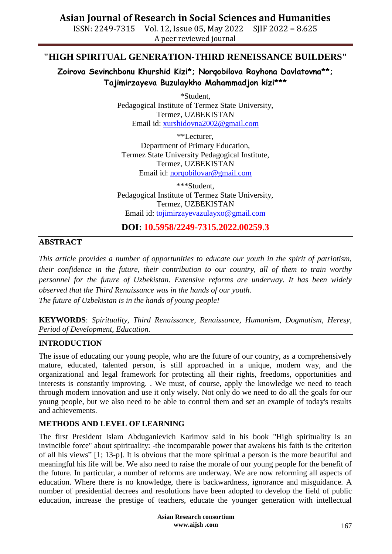### **Asian Journal of Research in Social Sciences and Humanities**

ISSN: 2249-7315 Vol. 12, Issue 05, May 2022 SJIF 2022 = 8.625 A peer reviewed journal

### **"HIGH SPIRITUAL GENERATION-THIRD RENEISSANCE BUILDERS"**

**Zoirova Sevinchbonu Khurshid Kizi\*; Norqobilova Rayhona Davlatovna\*\*; Tajimirzayeva Buzulaykho Mahammadjon kizi\*\*\***

> \*Student, Pedagogical Institute of Termez State University, Termez, UZBEKISTAN Email id: [xurshidovna2002@gmail.com](mailto:xurshidovna2002@gmail.com)

\*\*Lecturer, Department of Primary Education, Termez State University Pedagogical Institute, Termez, UZBEKISTAN Email id: [norqobilovar@gmail.com](mailto:norqobilovar@gmail.com)

\*\*\*Student, Pedagogical Institute of Termez State University, Termez, UZBEKISTAN Email id: [tojimirzayevazulayxo@gmail.com](mailto:tojimirzayevazulayxo@gmail.com)

**DOI: 10.5958/2249-7315.2022.00259.3**

### **ABSTRACT**

*This article provides a number of opportunities to educate our youth in the spirit of patriotism, their confidence in the future, their contribution to our country, all of them to train worthy personnel for the future of Uzbekistan. Extensive reforms are underway. It has been widely observed that the Third Renaissance was in the hands of our youth. The future of Uzbekistan is in the hands of young people!*

**KEYWORDS**: *Spirituality, Third Renaissance, Renaissance, Humanism, Dogmatism, Heresy, Period of Development, Education.*

### **INTRODUCTION**

The issue of educating our young people, who are the future of our country, as a comprehensively mature, educated, talented person, is still approached in a unique, modern way, and the organizational and legal framework for protecting all their rights, freedoms, opportunities and interests is constantly improving. . We must, of course, apply the knowledge we need to teach through modern innovation and use it only wisely. Not only do we need to do all the goals for our young people, but we also need to be able to control them and set an example of today's results and achievements.

### **METHODS AND LEVEL OF LEARNING**

The first President Islam Abduganievich Karimov said in his book "High spirituality is an invincible force" about spirituality: -the incomparable power that awakens his faith is the criterion of all his views" [1; 13-p]. It is obvious that the more spiritual a person is the more beautiful and meaningful his life will be. We also need to raise the morale of our young people for the benefit of the future. In particular, a number of reforms are underway. We are now reforming all aspects of education. Where there is no knowledge, there is backwardness, ignorance and misguidance. A number of presidential decrees and resolutions have been adopted to develop the field of public education, increase the prestige of teachers, educate the younger generation with intellectual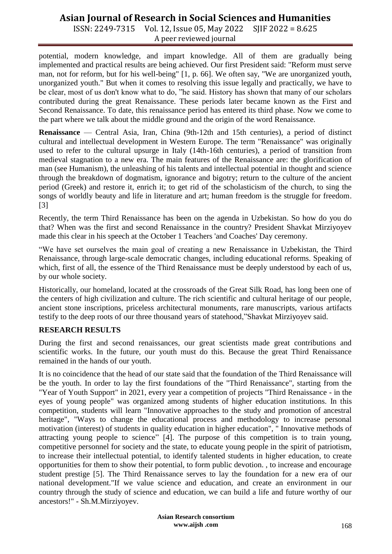# **Asian Journal of Research in Social Sciences and Humanities**

ISSN: 2249-7315 Vol. 12, Issue 05, May 2022 SJIF 2022 = 8.625 A peer reviewed journal

potential, modern knowledge, and impart knowledge. All of them are gradually being implemented and practical results are being achieved. Our first President said: "Reform must serve man, not for reform, but for his well-being" [1, p. 66]. We often say, "We are unorganized youth, unorganized youth." But when it comes to resolving this issue legally and practically, we have to be clear, most of us don't know what to do, "he said. History has shown that many of our scholars contributed during the great Renaissance. These periods later became known as the First and Second Renaissance. To date, this renaissance period has entered its third phase. Now we come to the part where we talk about the middle ground and the origin of the word Renaissance.

**Renaissance** — Central Asia, Iran, China (9th-12th and 15th centuries), a period of distinct cultural and intellectual development in Western Europe. The term "Renaissance" was originally used to refer to the cultural upsurge in Italy (14th-16th centuries), a period of transition from medieval stagnation to a new era. The main features of the Renaissance are: the glorification of man (see Humanism), the unleashing of his talents and intellectual potential in thought and science through the breakdown of dogmatism, ignorance and bigotry; return to the culture of the ancient period (Greek) and restore it, enrich it; to get rid of the scholasticism of the church, to sing the songs of worldly beauty and life in literature and art; human freedom is the struggle for freedom. [3]

Recently, the term Third Renaissance has been on the agenda in Uzbekistan. So how do you do that? When was the first and second Renaissance in the country? President Shavkat Mirziyoyev made this clear in his speech at the October 1 Teachers 'and Coaches' Day ceremony.

"We have set ourselves the main goal of creating a new Renaissance in Uzbekistan, the Third Renaissance, through large-scale democratic changes, including educational reforms. Speaking of which, first of all, the essence of the Third Renaissance must be deeply understood by each of us, by our whole society.

Historically, our homeland, located at the crossroads of the Great Silk Road, has long been one of the centers of high civilization and culture. The rich scientific and cultural heritage of our people, ancient stone inscriptions, priceless architectural monuments, rare manuscripts, various artifacts testify to the deep roots of our three thousand years of statehood,"Shavkat Mirziyoyev said.

### **RESEARCH RESULTS**

During the first and second renaissances, our great scientists made great contributions and scientific works. In the future, our youth must do this. Because the great Third Renaissance remained in the hands of our youth.

It is no coincidence that the head of our state said that the foundation of the Third Renaissance will be the youth. In order to lay the first foundations of the "Third Renaissance", starting from the "Year of Youth Support" in 2021, every year a competition of projects "Third Renaissance - in the eyes of young people" was organized among students of higher education institutions. In this competition, students will learn "Innovative approaches to the study and promotion of ancestral heritage", "Ways to change the educational process and methodology to increase personal motivation (interest) of students in quality education in higher education", " Innovative methods of attracting young people to science" [4]. The purpose of this competition is to train young, competitive personnel for society and the state, to educate young people in the spirit of patriotism, to increase their intellectual potential, to identify talented students in higher education, to create opportunities for them to show their potential, to form public devotion. , to increase and encourage student prestige [5]. The Third Renaissance serves to lay the foundation for a new era of our national development."If we value science and education, and create an environment in our country through the study of science and education, we can build a life and future worthy of our ancestors!" - Sh.M.Mirziyoyev.